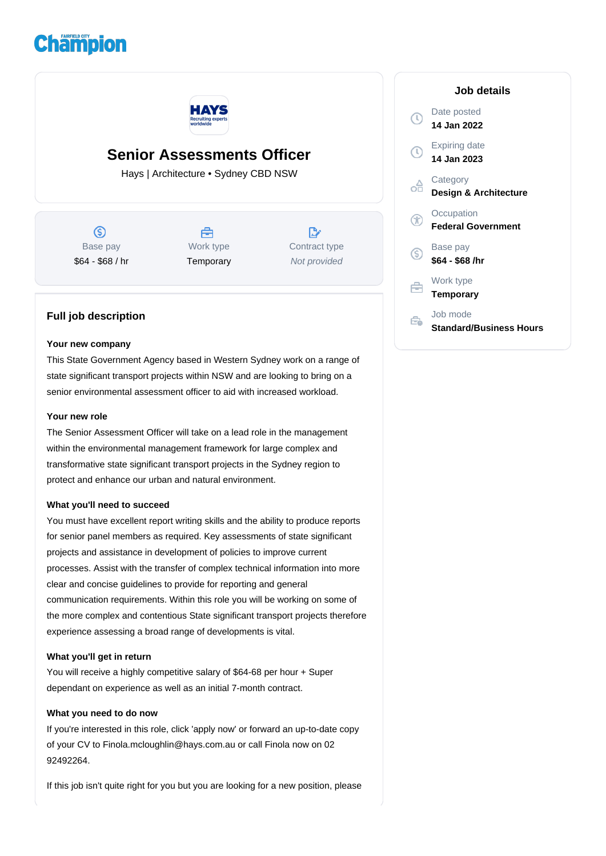# **Champion**



## **Senior Assessments Officer**

Hays | Architecture • Sydney CBD NSW

 $\circledS$ Base pay \$64 - \$68 / hr



Work type **Temporary** 

 $\mathbb{R}$ Contract type Not provided

### **Full job description**

#### **Your new company**

This State Government Agency based in Western Sydney work on a range of state significant transport projects within NSW and are looking to bring on a senior environmental assessment officer to aid with increased workload.

#### **Your new role**

The Senior Assessment Officer will take on a lead role in the management within the environmental management framework for large complex and transformative state significant transport projects in the Sydney region to protect and enhance our urban and natural environment.

#### **What you'll need to succeed**

You must have excellent report writing skills and the ability to produce reports for senior panel members as required. Key assessments of state significant projects and assistance in development of policies to improve current processes. Assist with the transfer of complex technical information into more clear and concise guidelines to provide for reporting and general communication requirements. Within this role you will be working on some of the more complex and contentious State significant transport projects therefore experience assessing a broad range of developments is vital.

#### **What you'll get in return**

You will receive a highly competitive salary of \$64-68 per hour + Super dependant on experience as well as an initial 7-month contract.

#### **What you need to do now**

If you're interested in this role, click 'apply now' or forward an up-to-date copy of your CV to Finola.mcloughlin@hays.com.au or call Finola now on 02 92492264.

If this job isn't quite right for you but you are looking for a new position, please

|        | Job details                                |
|--------|--------------------------------------------|
| $\tau$ | Date posted<br>14 Jan 2022                 |
| U      | <b>Expiring date</b><br>14 Jan 2023        |
|        | Category<br>Design & Architecture          |
|        | Occupation<br><b>Federal Government</b>    |
| S      | Base pay<br>\$64 - \$68 /hr                |
|        | Work type<br><b>Temporary</b>              |
|        | Job mode<br><b>Standard/Business Hours</b> |